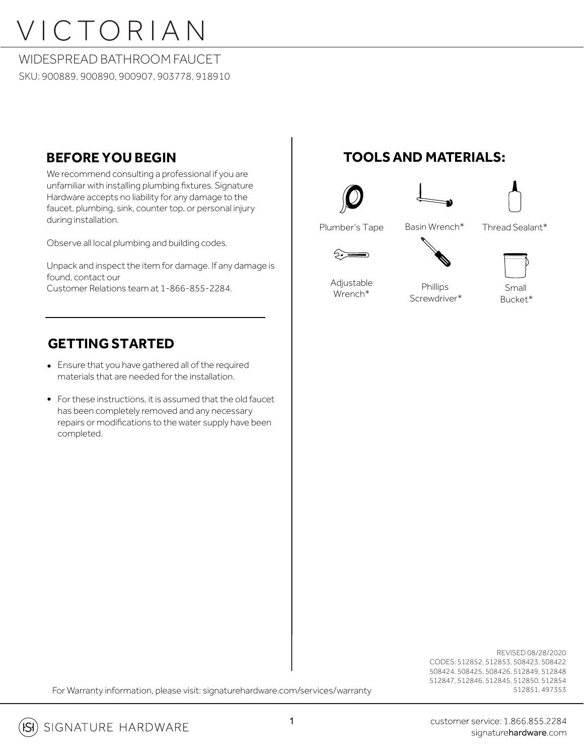#### WIDESPREAD BATHROOM FAUCET

SKU: 900889, 900890, 900907, 903778, 918910

We recommend consulting a professional if you are unfamiliar with installing plumbing fixtures. Signature Hardware accepts no liability for any damage to the faucet, plumbing, sink, counter top, or personal injury during installation.

Observe all local plumbing and building codes.

Unpack and inspect the item for damage. If any damage is found, contact our Customer Relations team at 1-866-855-2284.

#### **GETTING STARTED**

- Ensure that you have gathered all of the required materials that are needed for the installation.
- For these instructions, it is assumed that the old faucet has been completely removed and any necessary repairs or modifications to the water supply have been completed.

### **BEFORE YOU BEGIN TOOLSAND MATERIALS:**







Plumber's Tape Basin Wrench\* Thread Sealant\*







Adjustable<br>Wrench\*

Wrench\* Phillips Screwdriver\*

Small Bucket\*

REVISED 08/28/2020 CODES: 512852, 512853, 508423, 508422 508424, 508425, 508426, 512849, 512848 512847, 512846, 512845, 512850, 512854 512851, 497353

For Warranty information, please visit: signaturehardware.com/services/warranty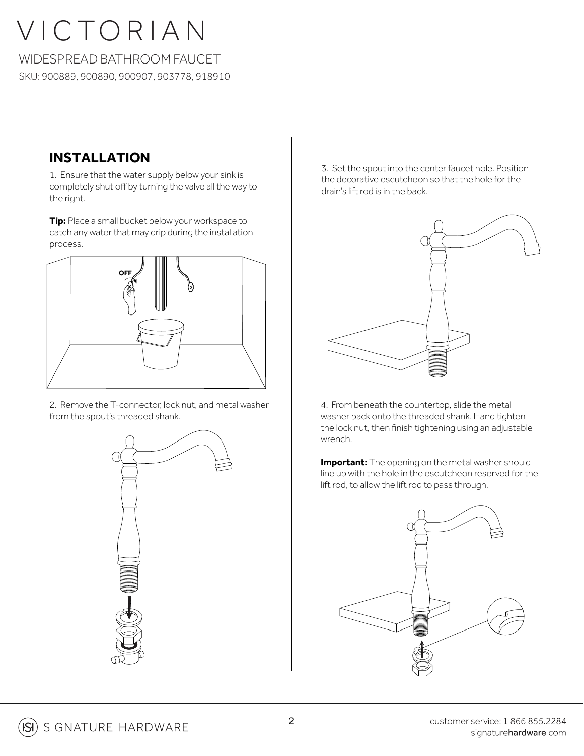### WIDESPREAD BATHROOM FAUCET

SKU: 900889, 900890, 900907, 903778, 918910

### **INSTALLATION**

1. Ensure that the water supply below your sink is completely shut off by turning the valve all the way to the right.

**Tip:** Place a small bucket below your workspace to catch any water that may drip during the installation process.



2. Remove the T-connector, lock nut, and metal washer from the spout's threaded shank.



3. Set the spout into the center faucet hole. Position the decorative escutcheon so that the hole for the drain's lift rod is in the back.



4. From beneath the countertop, slide the metal washer back onto the threaded shank. Hand tighten the lock nut, then finish tightening using an adjustable wrench.

**Important:** The opening on the metal washer should line up with the hole in the escutcheon reserved for the lift rod, to allow the lift rod to pass through.

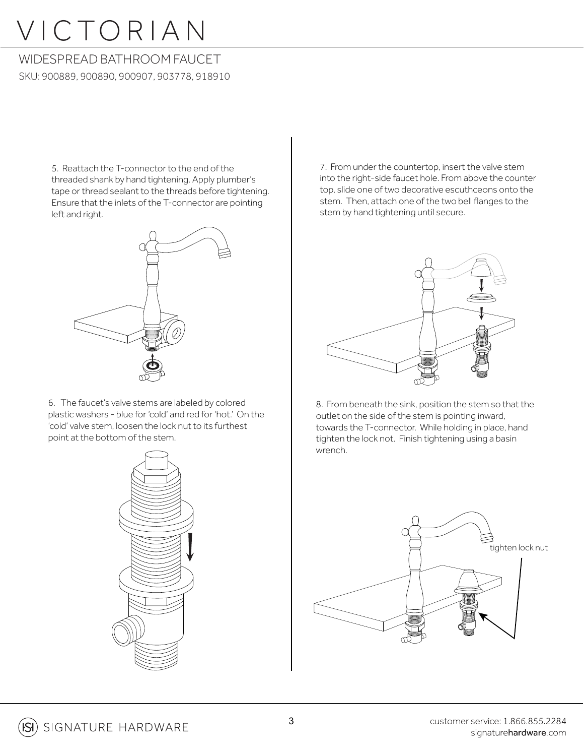#### WIDESPREAD BATHROOM FAUCET

SKU: 900889, 900890, 900907, 903778, 918910

5. Reattach the T-connector to the end of the threaded shank by hand tightening. Apply plumber's tape or thread sealant to the threads before tightening. Ensure that the inlets of the T-connector are pointing left and right.



6. The faucet's valve stems are labeled by colored plastic washers - blue for 'cold' and red for 'hot.' On the 'cold' valve stem, loosen the lock nut to its furthest point at the bottom of the stem.



7. From under the countertop, insert the valve stem into the right-side faucet hole. From above the counter top, slide one of two decorative escuthceons onto the stem. Then, attach one of the two bell flanges to the stem by hand tightening until secure.



8. From beneath the sink, position the stem so that the outlet on the side of the stem is pointing inward, towards the T-connector. While holding in place, hand tighten the lock not. Finish tightening using a basin wrench.

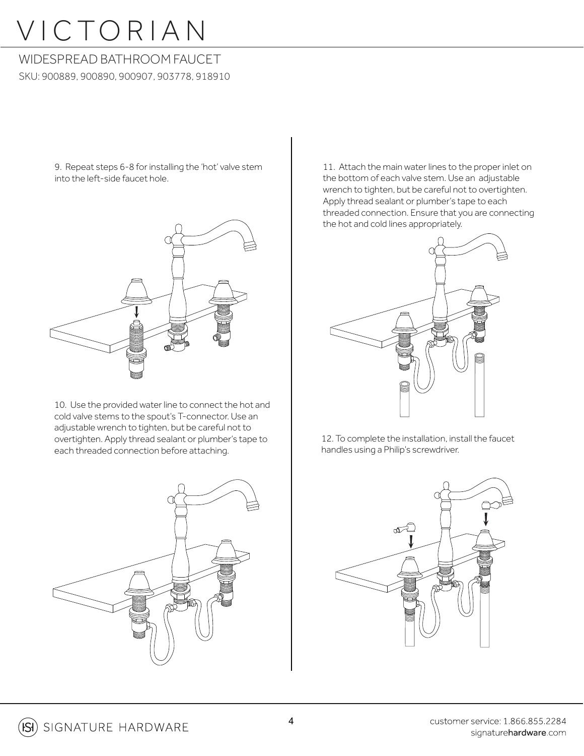### WIDESPREAD BATHROOM FAUCET

SKU: 900889, 900890, 900907, 903778, 918910

9. Repeat steps 6-8 for installing the 'hot' valve stem into the left-side faucet hole.



10. Use the provided water line to connect the hot and cold valve stems to the spout's T-connector. Use an adjustable wrench to tighten, but be careful not to overtighten. Apply thread sealant or plumber's tape to each threaded connection before attaching.



11. Attach the main water lines to the proper inlet on the bottom of each valve stem. Use an adjustable wrench to tighten, but be careful not to overtighten. Apply thread sealant or plumber's tape to each threaded connection. Ensure that you are connecting the hot and cold lines appropriately.



12. To complete the installation, install the faucet handles using a Philip's screwdriver.

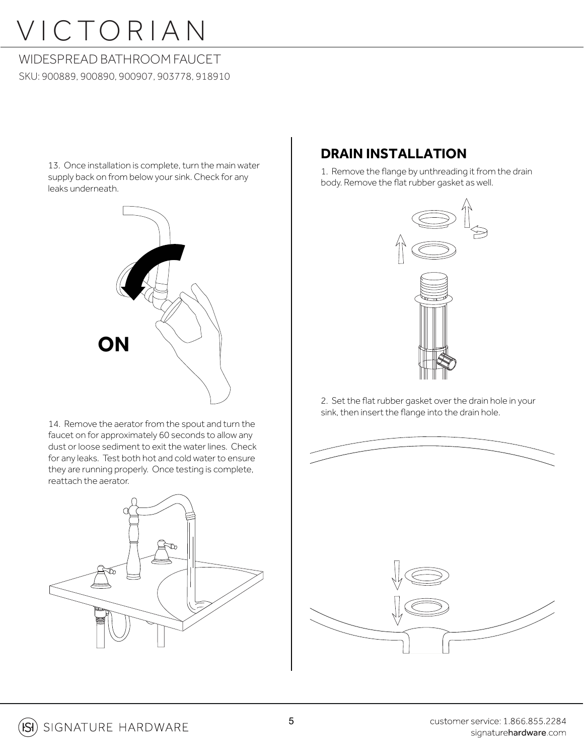### WIDESPREAD BATHROOM FAUCET

SKU: 900889, 900890, 900907, 903778, 918910

13. Once installation is complete, turn the main water supply back on from below your sink. Check for any leaks underneath.



14. Remove the aerator from the spout and turn the faucet on for approximately 60 seconds to allow any dust or loose sediment to exit the water lines. Check for any leaks. Test both hot and cold water to ensure they are running properly. Once testing is complete, reattach the aerator.



### **DRAIN INSTALLATION**

1. Remove the flange by unthreading it from the drain body. Remove the flat rubber gasket as well.



2. Set the flat rubber gasket over the drain hole in your sink, then insert the flange into the drain hole.

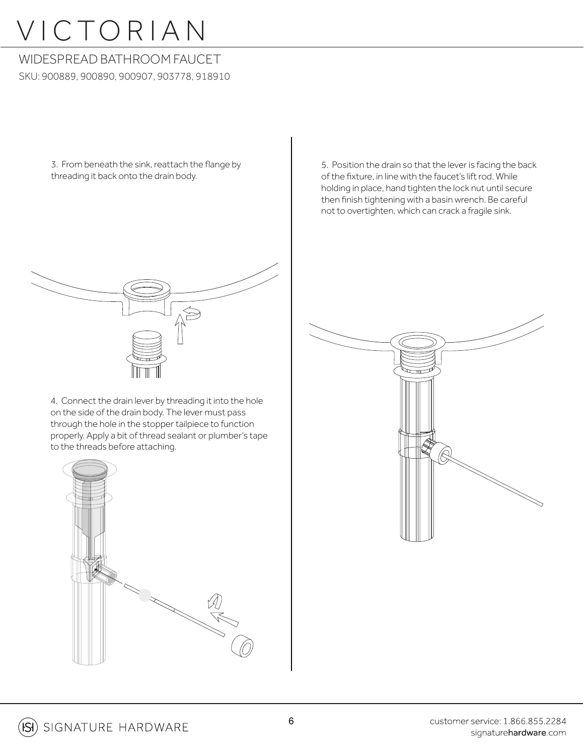### WIDESPREAD BATHROOM FAUCET

SKU: 900889, 900890, 900907, 903778, 918910

3. From beneath the sink, reattach the flange by threading it back onto the drain body.

5. Position the drain so that the lever is facing the back of the fixture, in line with the faucet's lift rod. While holding in place, hand tighten the lock nut until secure then finish tightening with a basin wrench. Be careful not to overtighten, which can crack a fragile sink.



4. Connect the drain lever by threading it into the hole on the side of the drain body. The lever must pass through the hole in the stopper tailpiece to function properly. Apply a bit of thread sealant or plumber's tape to the threads before attaching.



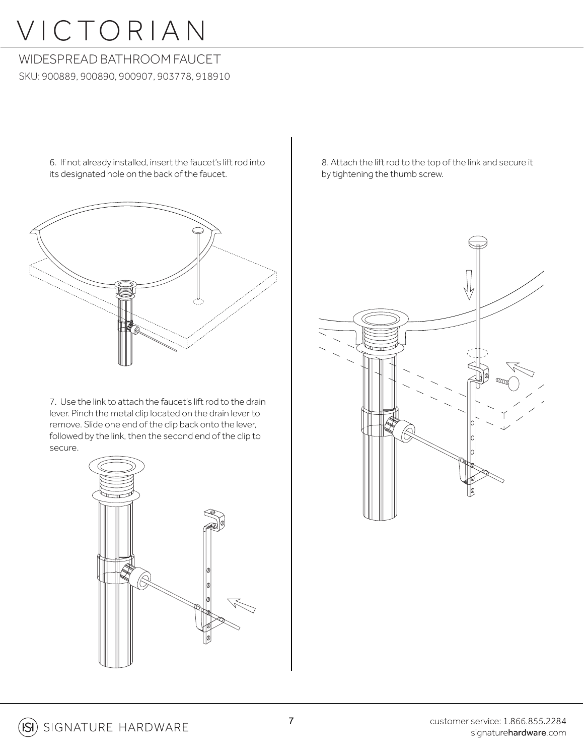### WIDESPREAD BATHROOM FAUCET

SKU: 900889, 900890, 900907, 903778, 918910

6. If not already installed, insert the faucet's lift rod into its designated hole on the back of the faucet.



7. Use the link to attach the faucet's lift rod to the drain lever. Pinch the metal clip located on the drain lever to remove. Slide one end of the clip back onto the lever, followed by the link, then the second end of the clip to secure.



8. Attach the lift rod to the top of the link and secure it by tightening the thumb screw.